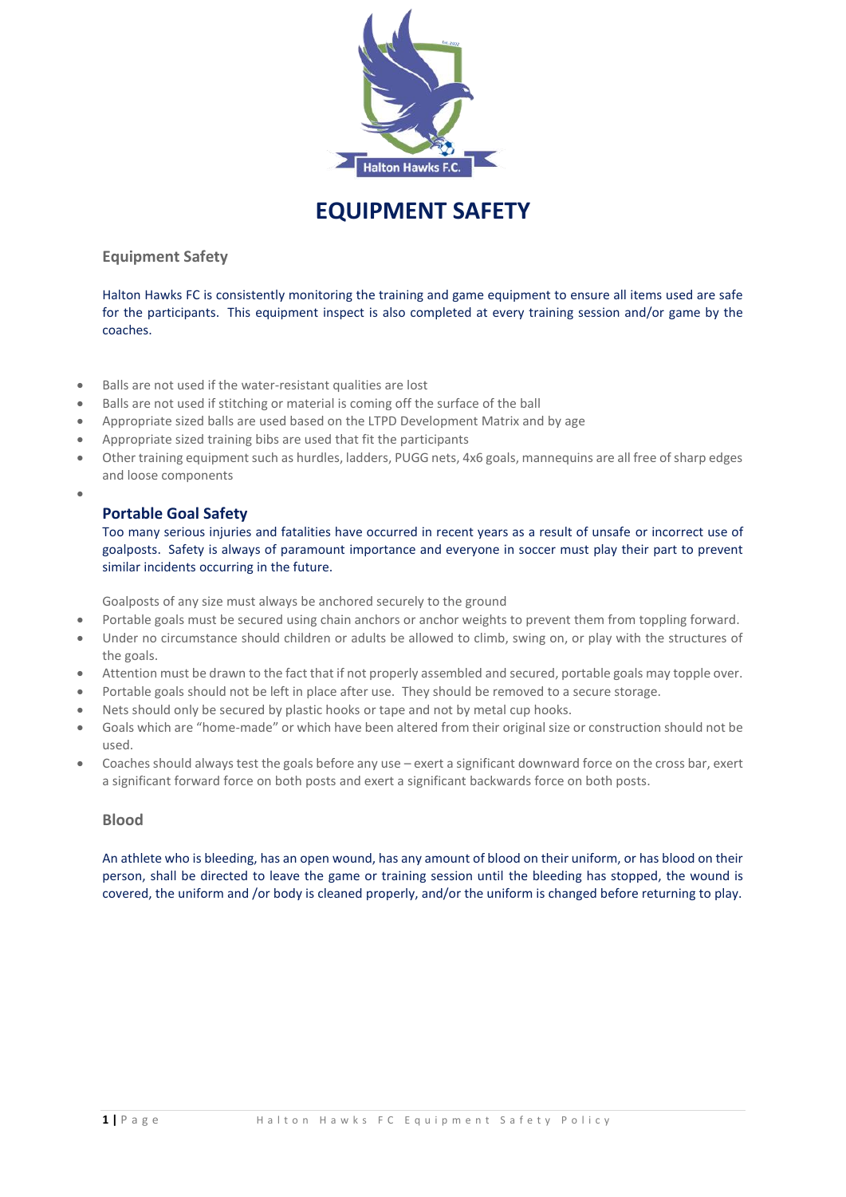

# **EQUIPMENT SAFETY**

**Equipment Safety**

Halton Hawks FC is consistently monitoring the training and game equipment to ensure all items used are safe for the participants. This equipment inspect is also completed at every training session and/or game by the coaches.

- Balls are not used if the water-resistant qualities are lost
- Balls are not used if stitching or material is coming off the surface of the ball
- Appropriate sized balls are used based on the LTPD Development Matrix and by age
- Appropriate sized training bibs are used that fit the participants
- Other training equipment such as hurdles, ladders, PUGG nets, 4x6 goals, mannequins are all free of sharp edges and loose components
- •

# **Portable Goal Safety**

Too many serious injuries and fatalities have occurred in recent years as a result of unsafe or incorrect use of goalposts. Safety is always of paramount importance and everyone in soccer must play their part to prevent similar incidents occurring in the future.

Goalposts of any size must always be anchored securely to the ground

- Portable goals must be secured using chain anchors or anchor weights to prevent them from toppling forward.
- Under no circumstance should children or adults be allowed to climb, swing on, or play with the structures of the goals.
- Attention must be drawn to the fact that if not properly assembled and secured, portable goals may topple over.
- Portable goals should not be left in place after use. They should be removed to a secure storage.
- Nets should only be secured by plastic hooks or tape and not by metal cup hooks.
- Goals which are "home-made" or which have been altered from their original size or construction should not be used.
- Coaches should always test the goals before any use exert a significant downward force on the cross bar, exert a significant forward force on both posts and exert a significant backwards force on both posts.

#### **Blood**

An athlete who is bleeding, has an open wound, has any amount of blood on their uniform, or has blood on their person, shall be directed to leave the game or training session until the bleeding has stopped, the wound is covered, the uniform and /or body is cleaned properly, and/or the uniform is changed before returning to play.